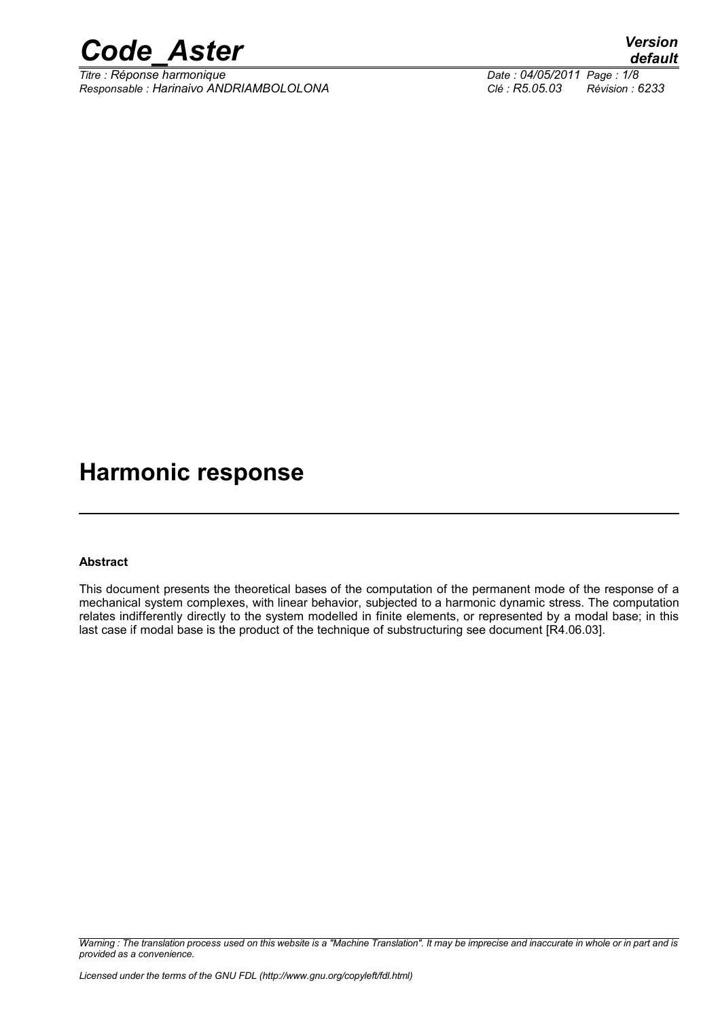

*Titre : Réponse harmonique Date : 04/05/2011 Page : 1/8 Responsable : Harinaivo ANDRIAMBOLOLONA Clé : R5.05.03 Révision : 6233*

# **Harmonic response**

#### **Abstract**

This document presents the theoretical bases of the computation of the permanent mode of the response of a mechanical system complexes, with linear behavior, subjected to a harmonic dynamic stress. The computation relates indifferently directly to the system modelled in finite elements, or represented by a modal base; in this last case if modal base is the product of the technique of substructuring see document [R4.06.03].

*Warning : The translation process used on this website is a "Machine Translation". It may be imprecise and inaccurate in whole or in part and is provided as a convenience.*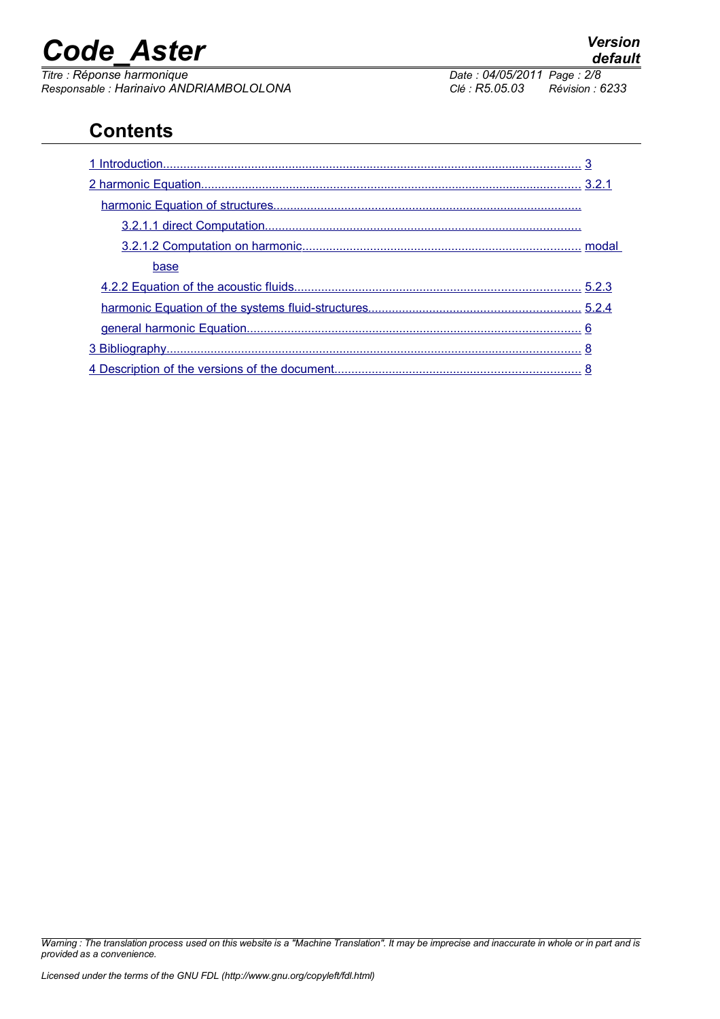*Titre : Réponse harmonique Date : 04/05/2011 Page : 2/8 Responsable : Harinaivo ANDRIAMBOLOLONA Clé : R5.05.03 Révision : 6233*

## **Contents**

| base |  |
|------|--|
|      |  |
|      |  |
|      |  |
|      |  |
|      |  |

*Warning : The translation process used on this website is a "Machine Translation". It may be imprecise and inaccurate in whole or in part and is provided as a convenience.*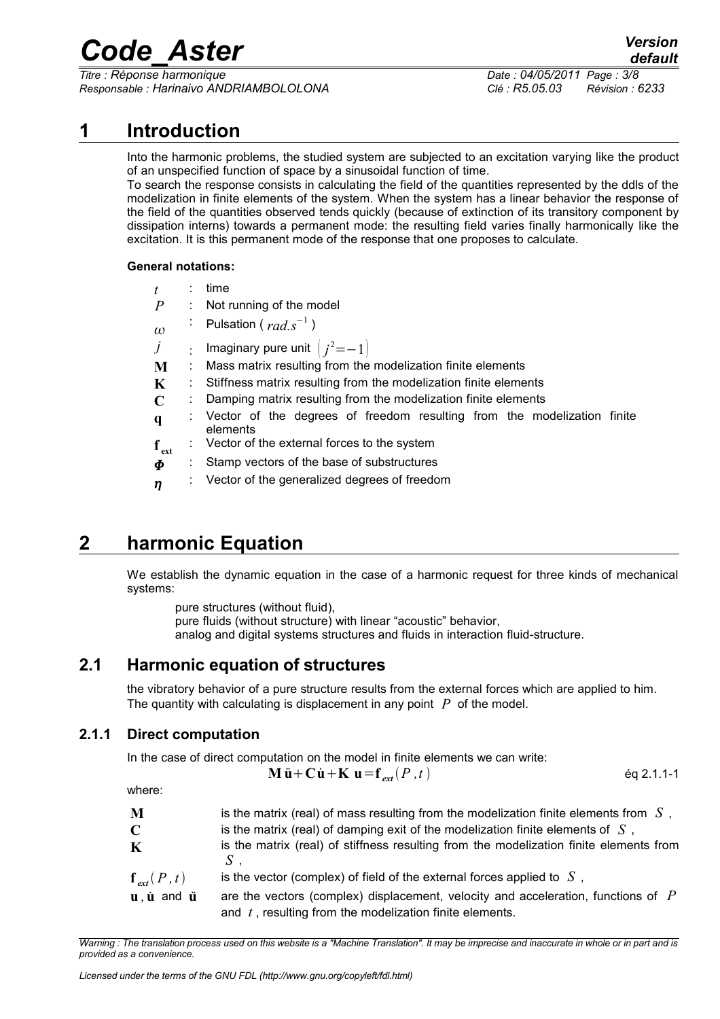*Titre : Réponse harmonique Date : 04/05/2011 Page : 3/8 Responsable : Harinaivo ANDRIAMBOLOLONA Clé : R5.05.03 Révision : 6233*

### **1 Introduction**

<span id="page-2-0"></span>Into the harmonic problems, the studied system are subjected to an excitation varying like the product of an unspecified function of space by a sinusoidal function of time.

To search the response consists in calculating the field of the quantities represented by the ddls of the modelization in finite elements of the system. When the system has a linear behavior the response of the field of the quantities observed tends quickly (because of extinction of its transitory component by dissipation interns) towards a permanent mode: the resulting field varies finally harmonically like the excitation. It is this permanent mode of the response that one proposes to calculate.

#### **General notations:**

| t                   |                | time                                                                                |  |  |  |
|---------------------|----------------|-------------------------------------------------------------------------------------|--|--|--|
| $\overline{P}$      | $\mathbb{Z}^n$ | Not running of the model                                                            |  |  |  |
| $\omega$            |                | : Pulsation ( $rad.s^{-1}$ )                                                        |  |  |  |
| $\dot{J}$           |                | : Imaginary pure unit $\left(j^2=-1\right)$                                         |  |  |  |
| M                   |                | Mass matrix resulting from the modelization finite elements                         |  |  |  |
| K                   |                | Stiffness matrix resulting from the modelization finite elements                    |  |  |  |
| $\mathbf C$         |                | Damping matrix resulting from the modelization finite elements                      |  |  |  |
| $\mathbf q$         |                | Vector of the degrees of freedom resulting from the modelization finite<br>elements |  |  |  |
| $f_{ext}$           |                | : Vector of the external forces to the system                                       |  |  |  |
| $\boldsymbol{\Phi}$ |                | Stamp vectors of the base of substructures                                          |  |  |  |
| $\eta$              |                | Vector of the generalized degrees of freedom                                        |  |  |  |

### **2 harmonic Equation**

<span id="page-2-3"></span>We establish the dynamic equation in the case of a harmonic request for three kinds of mechanical systems:

pure structures (without fluid), pure fluids (without structure) with linear "acoustic" behavior, analog and digital systems structures and fluids in interaction fluid-structure.

#### **2.1 Harmonic equation of structures**

<span id="page-2-2"></span>the vibratory behavior of a pure structure results from the external forces which are applied to him. The quantity with calculating is displacement in any point *P* of the model.

#### **2.1.1 Direct computation**

<span id="page-2-1"></span>In the case of direct computation on the model in finite elements we can write:

$$
\mathbf{M}\ddot{\mathbf{u}} + \mathbf{C}\dot{\mathbf{u}} + \mathbf{K}\mathbf{u} = \mathbf{f}_{ext}(P, t) \tag{9.1.1-1}
$$

where:

| M<br>$\mathbf C$                                          | is the matrix (real) of mass resulting from the modelization finite elements from $S$ ,<br>is the matrix (real) of damping exit of the modelization finite elements of $S$ , |
|-----------------------------------------------------------|------------------------------------------------------------------------------------------------------------------------------------------------------------------------------|
| $\bf K$                                                   | is the matrix (real) of stiffness resulting from the modelization finite elements from                                                                                       |
| $\mathbf{f}_{\text{ext}}(P,t)$                            | is the vector (complex) of field of the external forces applied to $S$ ,                                                                                                     |
| $\mathbf{u}$ , $\dot{\mathbf{u}}$ and $\ddot{\mathbf{u}}$ | are the vectors (complex) displacement, velocity and acceleration, functions of $P$<br>and $t$ , resulting from the modelization finite elements.                            |

*Warning : The translation process used on this website is a "Machine Translation". It may be imprecise and inaccurate in whole or in part and is provided as a convenience.*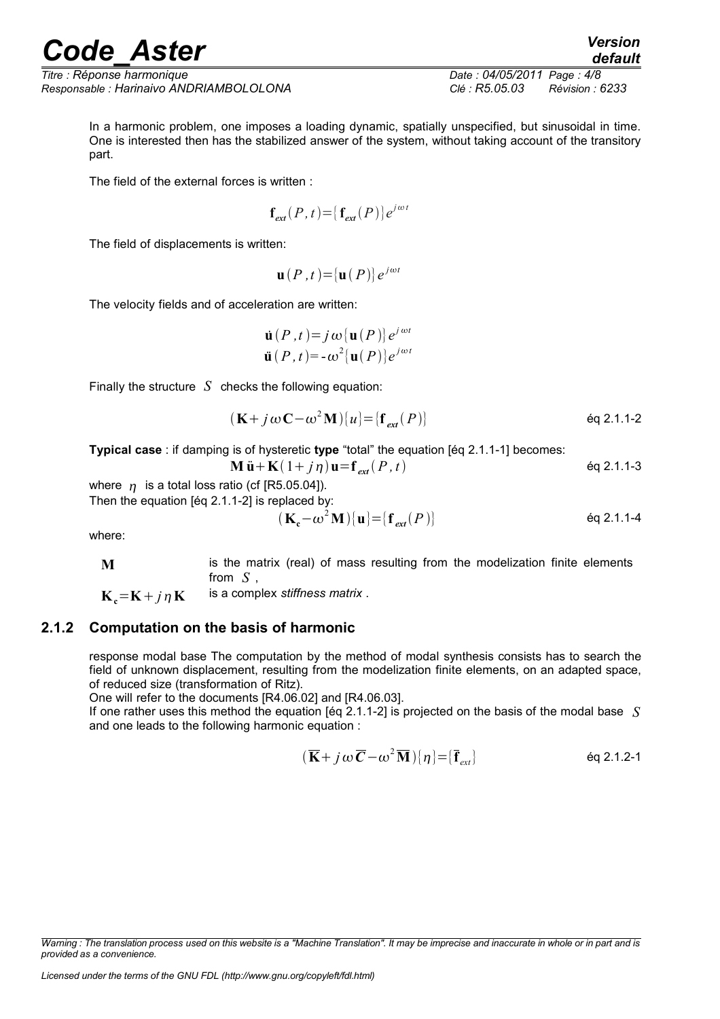*Titre : Réponse harmonique Date : 04/05/2011 Page : 4/8 Responsable : Harinaivo ANDRIAMBOLOLONA Clé : R5.05.03 Révision : 6233*

In a harmonic problem, one imposes a loading dynamic, spatially unspecified, but sinusoidal in time. One is interested then has the stabilized answer of the system, without taking account of the transitory part.

The field of the external forces is written :

$$
\mathbf{f}_{ext}(P,t) = \{ \mathbf{f}_{ext}(P) \} e^{j\omega t}
$$

The field of displacements is written:

$$
\mathbf{u}(P,t) = {\mathbf{u}(P)} e^{j\omega t}
$$

The velocity fields and of acceleration are written:

$$
\dot{\mathbf{u}}(P, t) = j \omega [\mathbf{u}(P)] e^{j \omega t}
$$

$$
\ddot{\mathbf{u}}(P, t) = -\omega^2 [\mathbf{u}(P)] e^{j \omega t}
$$

Finally the structure *S* checks the following equation:

$$
(\mathbf{K} + j\,\omega\,\mathbf{C} - \omega^2\,\mathbf{M})\{u\} = \{\mathbf{f}_{ext}(P)\}\
$$

**Typical case** : if damping is of hysteretic **type** "total" the equation [éq 2.1.1-1] becomes:

$$
M \ddot{u} + K(1 + j \eta) u = f_{ext}(P, t)
$$

where  $\eta$  is a total loss ratio (cf [R5.05.04]).

Then the equation [éq 2.1.1-2] is replaced by:

$$
\left(\mathbf{K}_{\mathbf{c}} - \omega^2 \mathbf{M}\right) \left\{ \mathbf{u} \right\} = \left\{ \mathbf{f}_{ext}(P) \right\} \tag{6q 2.1.1-4}
$$

where:

**M** is the matrix (real) of mass resulting from the modelization finite elements from *S* ,

 $K<sub>a</sub>=K + j\eta K$  is a complex *stiffness matrix*.

#### **2.1.2 Computation on the basis of harmonic**

<span id="page-3-0"></span>response modal base The computation by the method of modal synthesis consists has to search the field of unknown displacement, resulting from the modelization finite elements, on an adapted space, of reduced size (transformation of Ritz).

One will refer to the documents [R4.06.02] and [R4.06.03].

If one rather uses this method the equation [éq 2.1.1-2] is projected on the basis of the modal base *S* and one leads to the following harmonic equation :

$$
(\overline{\mathbf{K}} + j\,\omega\,\overline{\mathbf{C}} - \omega^2\,\overline{\mathbf{M}})[\eta] = [\overline{\mathbf{f}}_{ext}]
$$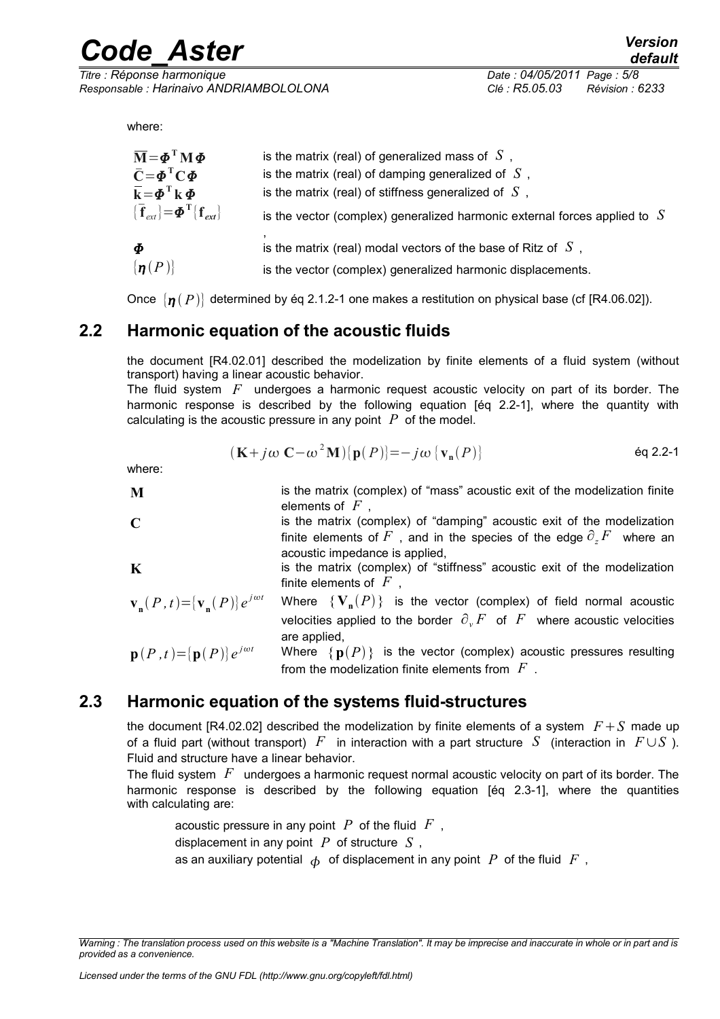*Titre : Réponse harmonique Date : 04/05/2011 Page : 5/8 Responsable : Harinaivo ANDRIAMBOLOLONA Clé : R5.05.03 Révision : 6233*

where:

| $\overline{\mathbf{M}} = \boldsymbol{\phi}^{\mathrm{T}} \mathbf{M} \boldsymbol{\phi}$     | is the matrix (real) of generalized mass of $S$ ,                           |
|-------------------------------------------------------------------------------------------|-----------------------------------------------------------------------------|
| $\overline{C} = \phi^T C \phi$                                                            | is the matrix (real) of damping generalized of $S$ ,                        |
| $\overline{\mathbf{k}} = \boldsymbol{\phi}^{\mathrm{T}} \mathbf{k} \boldsymbol{\Phi}$     | is the matrix (real) of stiffness generalized of $S$ ,                      |
| $\{\overline{\mathbf{f}}_{ext}\} = \boldsymbol{\Phi}^{\mathrm{T}} \{ \mathbf{f}_{ext}\}.$ | is the vector (complex) generalized harmonic external forces applied to $S$ |
| $\boldsymbol{\Phi}$                                                                       | is the matrix (real) modal vectors of the base of Ritz of $S$ ,             |
| $\{\boldsymbol{n}(P)\}\$                                                                  | is the vector (complex) generalized harmonic displacements.                 |

<span id="page-4-1"></span>Once  $\{p \mid p\}$  determined by éq 2.1.2-1 one makes a restitution on physical base (cf [R4.06.02]).

#### **2.2 Harmonic equation of the acoustic fluids**

the document [R4.02.01] described the modelization by finite elements of a fluid system (without transport) having a linear acoustic behavior.

The fluid system *F* undergoes a harmonic request acoustic velocity on part of its border. The harmonic response is described by the following equation [éq 2.2-1], where the quantity with calculating is the acoustic pressure in any point *P* of the model.

$$
(\mathbf{K} + j\omega \mathbf{C} - \omega^2 \mathbf{M})\{\mathbf{p}(P)\} = -j\omega \{\mathbf{v}_{\mathbf{n}}(P)\}
$$

where:

- **M** is the matrix (complex) of "mass" acoustic exit of the modelization finite elements of *F* , **C** is the matrix (complex) of "damping" acoustic exit of the modelization
- finite elements of  $F$ , and in the species of the edge  $\partial F$ , where an acoustic impedance is applied, **K** is the matrix (complex) of "stiffness" acoustic exit of the modelization

finite elements of *F* ,  $\mathbf{v}_{\mathbf{n}}(P, t) = [\mathbf{v}_{\mathbf{n}}(P)]e$  $f^{int}$  Where  $\{ \mathbf{V}_\mathbf{n} (P) \}$  is the vector (complex) of field normal acoustic velocities applied to the border  $\partial_y F$  of  $F$  where acoustic velocities are applied,  $\mathbf{p}(P,t) = \{ \mathbf{p}(P) \} e^{j\omega t}$ Where  ${p(P)}$  is the vector (complex) acoustic pressures resulting from the modelization finite elements from *F* .

#### **2.3 Harmonic equation of the systems fluid-structures**

<span id="page-4-0"></span>the document  $[RA.02.02]$  described the modelization by finite elements of a system  $F+S$  made up of a fluid part (without transport)  $F$  in interaction with a part structure  $S$  (interaction in  $F \cup S$ ). Fluid and structure have a linear behavior.

The fluid system *F* undergoes a harmonic request normal acoustic velocity on part of its border. The harmonic response is described by the following equation [éq 2.3-1], where the quantities with calculating are:

acoustic pressure in any point *P* of the fluid *F* , displacement in any point *P* of structure *S* , as an auxiliary potential  $\phi$  of displacement in any point *P* of the fluid *F*,

*Warning : The translation process used on this website is a "Machine Translation". It may be imprecise and inaccurate in whole or in part and is provided as a convenience.*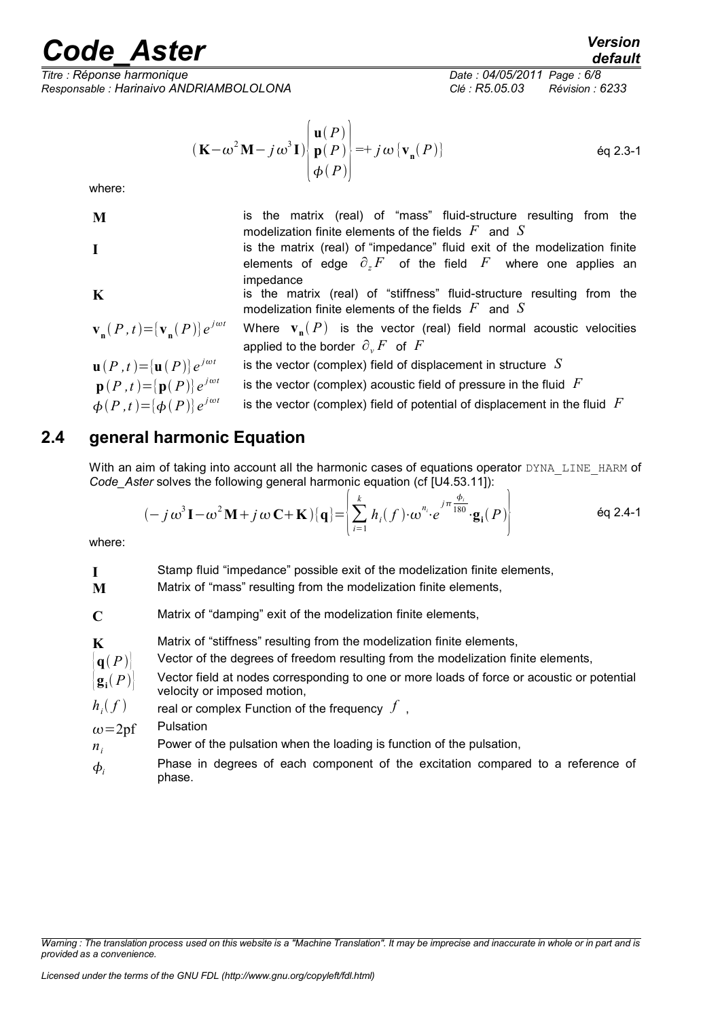*Responsable : Harinaivo ANDRIAMBOLOLONA Clé : R5.05.03 Révision : 6233*

*Titre : Réponse harmonique Date : 04/05/2011 Page : 6/8*

$$
(\mathbf{K} - \omega^2 \mathbf{M} - j \omega^3 \mathbf{I}) \begin{bmatrix} \mathbf{u}(P) \\ \mathbf{p}(P) \\ \boldsymbol{\phi}(P) \end{bmatrix} = + j \omega \{ \mathbf{v}_n(P) \}
$$
 eq 2.3-1

where:

$$
\mathbf{N}
$$

$$
\mathbf{I} \\
$$

**M** is the matrix (real) of "mass" fluid-structure resulting from the modelization finite elements of the fields *F* and *S* **I** is the matrix (real) of "impedance" fluid exit of the modelization finite elements of edge  $\partial_z F$  of the field  $F$  where one applies an impedance **K** is the matrix (real) of "stiffness" fluid-structure resulting from the modelization finite elements of the fields *F* and *S*  $\mathbf{v}_{\mathbf{n}}(P, t) = [\mathbf{v}_{\mathbf{n}}(P)]e$  $P^{\text{int}}$  Where  $\mathbf{v}_{\mathbf{n}}(P)$  is the vector (real) field normal acoustic velocities applied to the border  $\partial_y F$  of  $F$ 

$$
\mathbf{u}(P,t) = [\mathbf{u}(P)]e^{j\omega t}
$$
 is the vector (complex) field of displacement in structure  $S$   
\n
$$
\mathbf{p}(P,t) = [\mathbf{p}(P)]e^{j\omega t}
$$
 is the vector (complex) acoustic field of pressure in the fluid  $F$   
\n
$$
\phi(P,t) = [\phi(P)]e^{j\omega t}
$$
 is the vector (complex) field of potential of displacement in the fluid  $F$ 

### **2.4 general harmonic Equation**

<span id="page-5-0"></span>With an aim of taking into account all the harmonic cases of equations operator DYNA\_LINE\_HARM of *Code\_Aster* solves the following general harmonic equation (cf [U4.53.11]):

$$
(-j\omega^3 \mathbf{I} - \omega^2 \mathbf{M} + j\omega \mathbf{C} + \mathbf{K})\{\mathbf{q}\} = \left\{\sum_{i=1}^k h_i(f) \cdot \omega^{n_i} e^{j\pi \frac{\phi_i}{180}} \cdot \mathbf{g_i}(P)\right\}
$$
 eq 2.4-1

where:

**I** Stamp fluid "impedance" possible exit of the modelization finite elements,

**M** Matrix of "mass" resulting from the modelization finite elements,

**C** Matrix of "damping" exit of the modelization finite elements,

**K** Matrix of "stiffness" resulting from the modelization finite elements,

 $\mathbf{q}(P)$  Vector of the degrees of freedom resulting from the modelization finite elements,

- ${\bf g}_i(P)$ Vector field at nodes corresponding to one or more loads of force or acoustic or potential velocity or imposed motion,
- $h_i(f)$ real or complex Function of the frequency  $f$ ,
- $\omega = 2p$ f Pulsation
- *ni* Power of the pulsation when the loading is function of the pulsation,
- $\phi_i$ Phase in degrees of each component of the excitation compared to a reference of phase.

*Warning : The translation process used on this website is a "Machine Translation". It may be imprecise and inaccurate in whole or in part and is provided as a convenience.*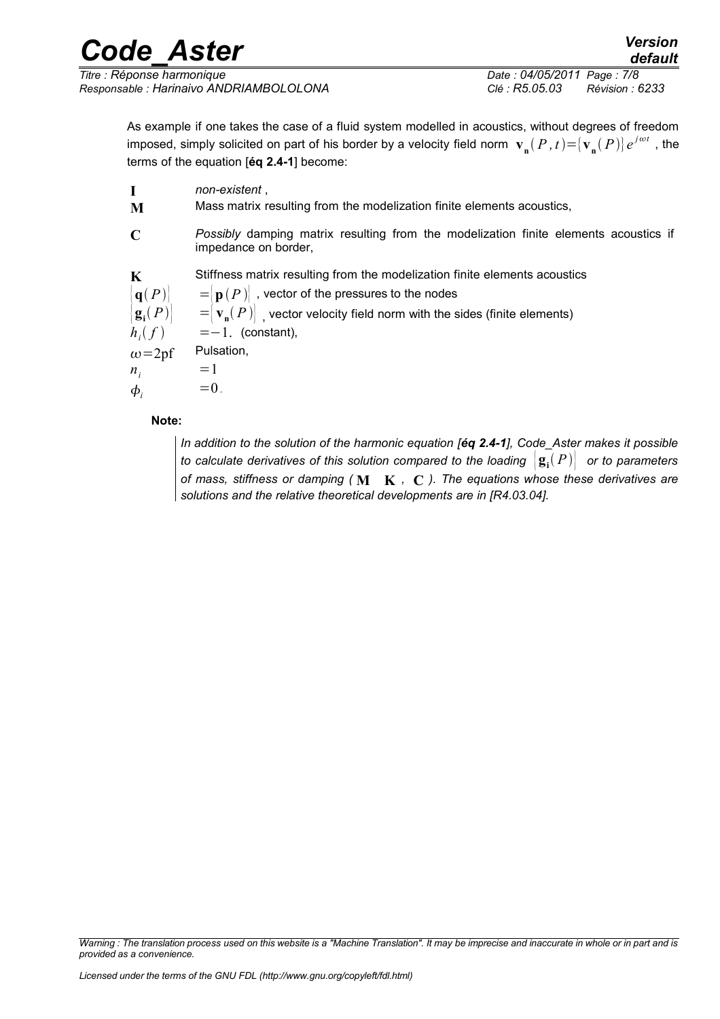| <b>Code Aster</b>                       | <b>Version</b><br>default         |
|-----------------------------------------|-----------------------------------|
| Titre : Réponse harmonique              | Date: 04/05/2011 Page: 7/8        |
| Responsable : Harinaivo ANDRIAMBOLOLONA | Clé : R5.05.03<br>Révision : 6233 |

As example if one takes the case of a fluid system modelled in acoustics, without degrees of freedom imposed, simply solicited on part of his border by a velocity field norm  $\mathbf{v_n}(P,t) {=} [\mathbf{v_n}(P)]e^{j\omega t}$  , the terms of the equation [**éq 2.4-1**] become:

**I** *non-existent* , **M** Mass matrix resulting from the modelization finite elements acoustics, **C** *Possibly* damping matrix resulting from the modelization finite elements acoustics if impedance on border, **K** Stiffness matrix resulting from the modelization finite elements acoustics  $\left| \mathbf{q}(P) \right| =$   $\left| \mathbf{p}(P) \right|$ , vector of the pressures to the nodes  ${\bf g}$ <sup> $\bf g}$ </sup> $(P)$  $\big( \, P \, \big) \big| \quad \quad = \big\vert \, \mathbf{v}_{\mathbf{n}}( \, P \, ) \big\vert \,$  , vector velocity field norm with the sides (finite elements)  $h_i(f)$  $\epsilon = -1$ . (constant),  $\omega = 2p$ f Pulsation,  $n_i$  =1  $\phi_i$  =0. **Note:**

*In addition to the solution of the harmonic equation [éq 2.4-1], Code\_Aster makes it possible to calculate derivatives of this solution compared to the loading*  $\big| \mathbf{g_i}(P) \big|$  *or to parameters of mass, stiffness or damping (* **M K** *,* **C** *). The equations whose these derivatives are solutions and the relative theoretical developments are in [R4.03.04].*

*Warning : The translation process used on this website is a "Machine Translation". It may be imprecise and inaccurate in whole or in part and is provided as a convenience.*